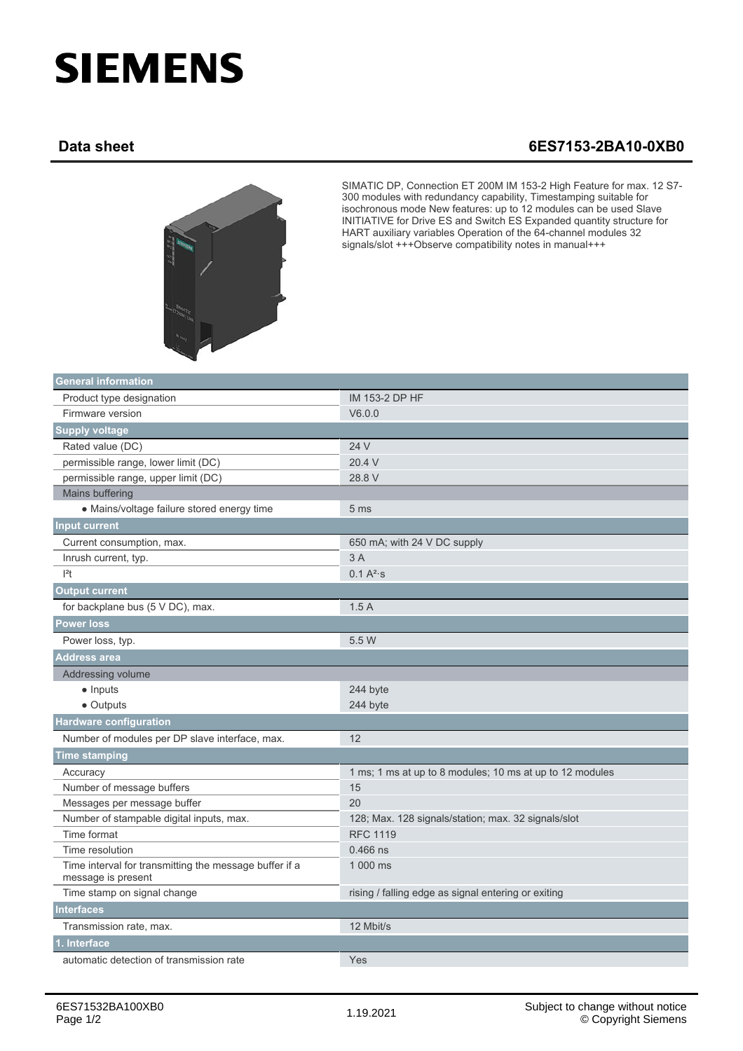## **SIEMENS**

## **Data sheet 6ES7153-2BA10-0XB0**



SIMATIC DP, Connection ET 200M IM 153-2 High Feature for max. 12 S7- 300 modules with redundancy capability, Timestamping suitable for isochronous mode New features: up to 12 modules can be used Slave INITIATIVE for Drive ES and Switch ES Expanded quantity structure for HART auxiliary variables Operation of the 64-channel modules 32 signals/slot +++Observe compatibility notes in manual+++

| <b>General information</b>                                                   |                                                          |
|------------------------------------------------------------------------------|----------------------------------------------------------|
| Product type designation                                                     | IM 153-2 DP HF                                           |
| Firmware version                                                             | V6.0.0                                                   |
| <b>Supply voltage</b>                                                        |                                                          |
| Rated value (DC)                                                             | 24 V                                                     |
| permissible range, lower limit (DC)                                          | 20.4 V                                                   |
| permissible range, upper limit (DC)                                          | 28.8 V                                                   |
| Mains buffering                                                              |                                                          |
| • Mains/voltage failure stored energy time                                   | 5 <sub>ms</sub>                                          |
| <b>Input current</b>                                                         |                                                          |
| Current consumption, max.                                                    | 650 mA; with 24 V DC supply                              |
| Inrush current, typ.                                                         | 3 A                                                      |
| $ ^{2}t$                                                                     | $0.1 A^{2}$ s                                            |
| <b>Output current</b>                                                        |                                                          |
| for backplane bus (5 V DC), max.                                             | 1.5A                                                     |
| <b>Power loss</b>                                                            |                                                          |
| Power loss, typ.                                                             | 5.5 W                                                    |
| <b>Address area</b>                                                          |                                                          |
| Addressing volume                                                            |                                                          |
| $\bullet$ Inputs                                                             | 244 byte                                                 |
| $\bullet$ Outputs                                                            | 244 byte                                                 |
| <b>Hardware configuration</b>                                                |                                                          |
| Number of modules per DP slave interface, max.                               | 12                                                       |
| <b>Time stamping</b>                                                         |                                                          |
| Accuracy                                                                     | 1 ms; 1 ms at up to 8 modules; 10 ms at up to 12 modules |
| Number of message buffers                                                    | 15                                                       |
| Messages per message buffer                                                  | 20                                                       |
| Number of stampable digital inputs, max.                                     | 128; Max. 128 signals/station; max. 32 signals/slot      |
| Time format                                                                  | <b>RFC 1119</b>                                          |
| Time resolution                                                              | $0.466$ ns                                               |
| Time interval for transmitting the message buffer if a<br>message is present | 1 000 ms                                                 |
| Time stamp on signal change                                                  | rising / falling edge as signal entering or exiting      |
| <b>Interfaces</b>                                                            |                                                          |
| Transmission rate, max.                                                      | 12 Mbit/s                                                |
| . Interface                                                                  |                                                          |
| automatic detection of transmission rate                                     | Yes                                                      |